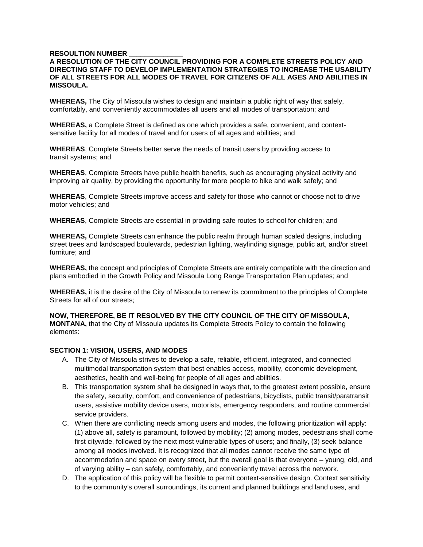### **RESOULTION NUMBER**

### **A RESOLUTION OF THE CITY COUNCIL PROVIDING FOR A COMPLETE STREETS POLICY AND DIRECTING STAFF TO DEVELOP IMPLEMENTATION STRATEGIES TO INCREASE THE USABILITY OF ALL STREETS FOR ALL MODES OF TRAVEL FOR CITIZENS OF ALL AGES AND ABILITIES IN MISSOULA.**

**WHEREAS,** The City of Missoula wishes to design and maintain a public right of way that safely, comfortably, and conveniently accommodates all users and all modes of transportation; and

**WHEREAS,** a Complete Street is defined as one which provides a safe, convenient, and contextsensitive facility for all modes of travel and for users of all ages and abilities; and

**WHEREAS**, Complete Streets better serve the needs of transit users by providing access to transit systems; and

**WHEREAS**, Complete Streets have public health benefits, such as encouraging physical activity and improving air quality, by providing the opportunity for more people to bike and walk safely; and

**WHEREAS**, Complete Streets improve access and safety for those who cannot or choose not to drive motor vehicles; and

**WHEREAS**, Complete Streets are essential in providing safe routes to school for children; and

**WHEREAS,** Complete Streets can enhance the public realm through human scaled designs, including street trees and landscaped boulevards, pedestrian lighting, wayfinding signage, public art, and/or street furniture; and

**WHEREAS,** the concept and principles of Complete Streets are entirely compatible with the direction and plans embodied in the Growth Policy and Missoula Long Range Transportation Plan updates; and

**WHEREAS,** it is the desire of the City of Missoula to renew its commitment to the principles of Complete Streets for all of our streets;

**NOW, THEREFORE, BE IT RESOLVED BY THE CITY COUNCIL OF THE CITY OF MISSOULA, MONTANA,** that the City of Missoula updates its Complete Streets Policy to contain the following elements:

#### **SECTION 1: VISION, USERS, AND MODES**

- A. The City of Missoula strives to develop a safe, reliable, efficient, integrated, and connected multimodal transportation system that best enables access, mobility, economic development, aesthetics, health and well-being for people of all ages and abilities.
- B. This transportation system shall be designed in ways that, to the greatest extent possible, ensure the safety, security, comfort, and convenience of pedestrians, bicyclists, public transit/paratransit users, assistive mobility device users, motorists, emergency responders, and routine commercial service providers.
- C. When there are conflicting needs among users and modes, the following prioritization will apply: (1) above all, safety is paramount, followed by mobility; (2) among modes, pedestrians shall come first citywide, followed by the next most vulnerable types of users; and finally, (3) seek balance among all modes involved. It is recognized that all modes cannot receive the same type of accommodation and space on every street, but the overall goal is that everyone – young, old, and of varying ability – can safely, comfortably, and conveniently travel across the network.
- D. The application of this policy will be flexible to permit context-sensitive design. Context sensitivity to the community's overall surroundings, its current and planned buildings and land uses, and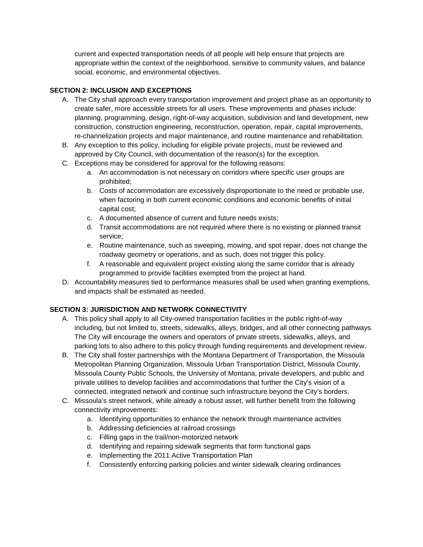current and expected transportation needs of all people will help ensure that projects are appropriate within the context of the neighborhood, sensitive to community values, and balance social, economic, and environmental objectives.

# **SECTION 2: INCLUSION AND EXCEPTIONS**

- A. The City shall approach every transportation improvement and project phase as an opportunity to create safer, more accessible streets for all users. These improvements and phases include: planning, programming, design, right-of-way acquisition, subdivision and land development, new construction, construction engineering, reconstruction, operation, repair, capital improvements, re-channelization projects and major maintenance, and routine maintenance and rehabilitation.
- B. Any exception to this policy, including for eligible private projects, must be reviewed and approved by City Council, with documentation of the reason(s) for the exception.
- C. Exceptions may be considered for approval for the following reasons:
	- a. An accommodation is not necessary on corridors where specific user groups are prohibited;
	- b. Costs of accommodation are excessively disproportionate to the need or probable use, when factoring in both current economic conditions and economic benefits of initial capital cost;
	- c. A documented absence of current and future needs exists;
	- d. Transit accommodations are not required where there is no existing or planned transit service;
	- e. Routine maintenance, such as sweeping, mowing, and spot repair, does not change the roadway geometry or operations, and as such, does not trigger this policy.
	- f. A reasonable and equivalent project existing along the same corridor that is already programmed to provide facilities exempted from the project at hand.
- D. Accountability measures tied to performance measures shall be used when granting exemptions, and impacts shall be estimated as needed.

# **SECTION 3: JURISDICTION AND NETWORK CONNECTIVITY**

- A. This policy shall apply to all City-owned transportation facilities in the public right-of-way including, but not limited to, streets, sidewalks, alleys, bridges, and all other connecting pathways. The City will encourage the owners and operators of private streets, sidewalks, alleys, and parking lots to also adhere to this policy through funding requirements and development review.
- B. The City shall foster partnerships with the Montana Department of Transportation, the Missoula Metropolitan Planning Organization, Missoula Urban Transportation District, Missoula County, Missoula County Public Schools, the University of Montana, private developers, and public and private utilities to develop facilities and accommodations that further the City's vision of a connected, integrated network and continue such infrastructure beyond the City's borders.
- C. Missoula's street network, while already a robust asset, will further benefit from the following connectivity improvements:
	- a. Identifying opportunities to enhance the network through maintenance activities
	- b. Addressing deficiencies at railroad crossings
	- c. Filling gaps in the trail/non-motorized network
	- d. Identifying and repairing sidewalk segments that form functional gaps
	- e. Implementing the 2011 Active Transportation Plan
	- f. Consistently enforcing parking policies and winter sidewalk clearing ordinances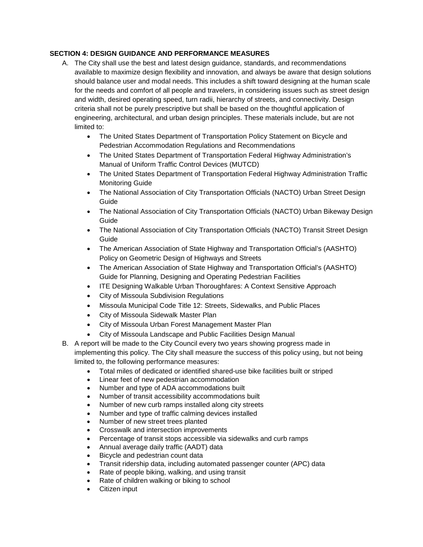## **SECTION 4: DESIGN GUIDANCE AND PERFORMANCE MEASURES**

- A. The City shall use the best and latest design guidance, standards, and recommendations available to maximize design flexibility and innovation, and always be aware that design solutions should balance user and modal needs. This includes a shift toward designing at the human scale for the needs and comfort of all people and travelers, in considering issues such as street design and width, desired operating speed, turn radii, hierarchy of streets, and connectivity. Design criteria shall not be purely prescriptive but shall be based on the thoughtful application of engineering, architectural, and urban design principles. These materials include, but are not limited to:
	- The United States Department of Transportation Policy Statement on Bicycle and Pedestrian Accommodation Regulations and Recommendations
	- The United States Department of Transportation Federal Highway Administration's Manual of Uniform Traffic Control Devices (MUTCD)
	- The United States Department of Transportation Federal Highway Administration Traffic Monitoring Guide
	- The National Association of City Transportation Officials (NACTO) Urban Street Design Guide
	- The National Association of City Transportation Officials (NACTO) Urban Bikeway Design Guide
	- The National Association of City Transportation Officials (NACTO) Transit Street Design Guide
	- The American Association of State Highway and Transportation Official's (AASHTO) Policy on Geometric Design of Highways and Streets
	- The American Association of State Highway and Transportation Official's (AASHTO) Guide for Planning, Designing and Operating Pedestrian Facilities
	- ITE Designing Walkable Urban Thoroughfares: A Context Sensitive Approach
	- City of Missoula Subdivision Regulations
	- Missoula Municipal Code Title 12: Streets, Sidewalks, and Public Places
	- City of Missoula Sidewalk Master Plan
	- City of Missoula Urban Forest Management Master Plan
	- City of Missoula Landscape and Public Facilities Design Manual
- B. A report will be made to the City Council every two years showing progress made in implementing this policy. The City shall measure the success of this policy using, but not being limited to, the following performance measures:
	- Total miles of dedicated or identified shared-use bike facilities built or striped
	- Linear feet of new pedestrian accommodation
	- Number and type of ADA accommodations built
	- Number of transit accessibility accommodations built
	- Number of new curb ramps installed along city streets
	- Number and type of traffic calming devices installed
	- Number of new street trees planted
	- Crosswalk and intersection improvements
	- Percentage of transit stops accessible via sidewalks and curb ramps
	- Annual average daily traffic (AADT) data
	- Bicycle and pedestrian count data
	- Transit ridership data, including automated passenger counter (APC) data
	- Rate of people biking, walking, and using transit
	- Rate of children walking or biking to school
	- Citizen input